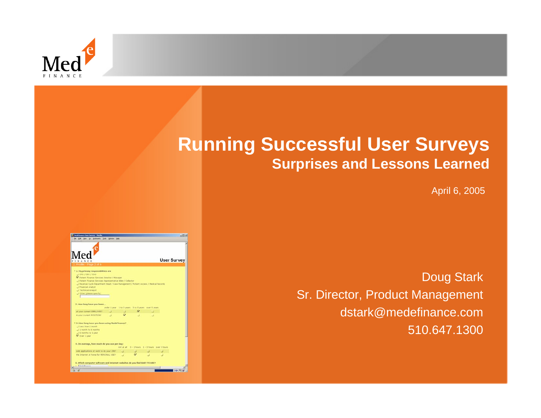

## **Running Successful User Surveys Surprises and Lessons Learned**

April 6, 2005

| <b>Medefinance they Survey - Mazika</b>                                                                                                                                                                                                                                                                                                                                        |                                          | $\frac{1}{2}$      |
|--------------------------------------------------------------------------------------------------------------------------------------------------------------------------------------------------------------------------------------------------------------------------------------------------------------------------------------------------------------------------------|------------------------------------------|--------------------|
| Go Bostmarks Took Mindow Help                                                                                                                                                                                                                                                                                                                                                  |                                          |                    |
| Mer                                                                                                                                                                                                                                                                                                                                                                            |                                          | <b>User Survey</b> |
| INANCE                                                                                                                                                                                                                                                                                                                                                                         |                                          |                    |
| 2. Profile - Page 2 of 6                                                                                                                                                                                                                                                                                                                                                       |                                          |                    |
| * 1. My primary responsibilities are<br>$\rightarrow$ CFO / CEO / COO<br>V Patient Finance Services Director / Manager<br>J Patient Finance Services Representative Biler / Cobector<br>Teverue Cycle Department Head / Cate Management / Patient Access / Medical Records<br>Financial Analyst<br>J Technical Analyst<br>Citier (please specify)<br>2. How long have you been |                                          |                    |
| under 1 year 1 to 3 years 3 to 5 years over 5 years                                                                                                                                                                                                                                                                                                                            |                                          |                    |
| at your current EMPLOYER?                                                                                                                                                                                                                                                                                                                                                      |                                          |                    |
| in your current POSITION?                                                                                                                                                                                                                                                                                                                                                      |                                          |                    |
| * 3. How long have you been using MedeFinance?<br>I Less than 1 month<br>3 1 month to 6 months<br>6 months to 1 year<br>V Over 1 year                                                                                                                                                                                                                                          |                                          |                    |
| 4. On average, how much do you use per day:<br>not at all                                                                                                                                                                                                                                                                                                                      | $0 - 1$ hours $1 - 3$ hours over 3 hours |                    |
| web applications at work to do your JOB?                                                                                                                                                                                                                                                                                                                                       |                                          |                    |
| the Internet at home for REESONAL USE?                                                                                                                                                                                                                                                                                                                                         |                                          |                    |
|                                                                                                                                                                                                                                                                                                                                                                                |                                          |                    |

Doug Stark Sr. Director, Product Management dstark@medefinance.com 510.647.1300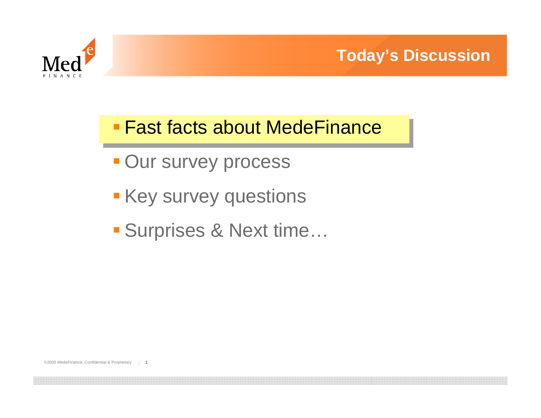

## Fast facts about MedeFinance

- **Our survey process**
- **Key survey questions**
- Surprises & Next time…

©2005 MedeFinance. Confidential & Proprietary /**1**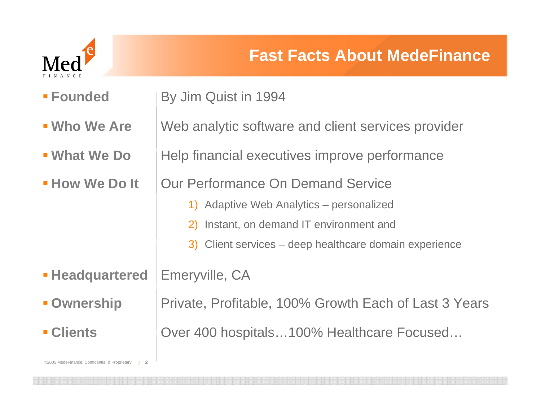

| <b>E</b> Founded       | By Jim Quist in 1994                                   |
|------------------------|--------------------------------------------------------|
| <b>- Who We Are</b>    | Web analytic software and client services provider     |
| <b>- What We Do</b>    | Help financial executives improve performance          |
| <b>- How We Do It</b>  | Our Performance On Demand Service                      |
|                        | 1) Adaptive Web Analytics – personalized               |
|                        | 2) Instant, on demand IT environment and               |
|                        | 3) Client services – deep healthcare domain experience |
| <b>- Headquartered</b> | Emeryville, CA                                         |
| <b>- Ownership</b>     | Private, Profitable, 100% Growth Each of Last 3 Years  |
| <b>- Clients</b>       | Over 400 hospitals100% Healthcare Focused              |
|                        |                                                        |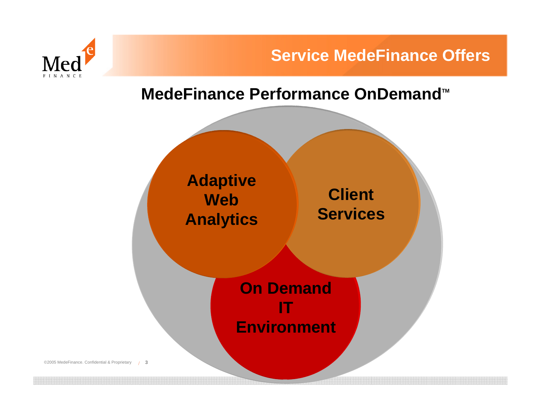



#### MedeFinance Performance OnDemand<sup>™</sup>



©2005 MedeFinance. Confidential & Proprietary /**3**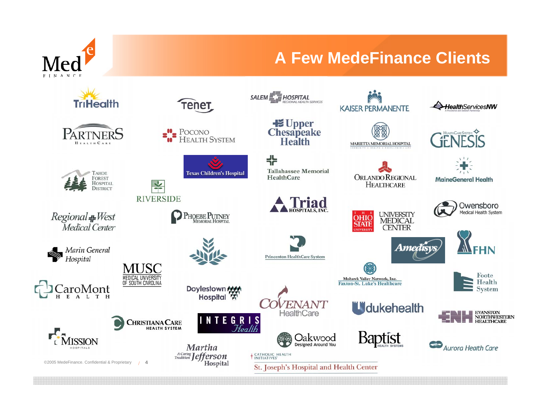

#### **A Few MedeFinance Clients**

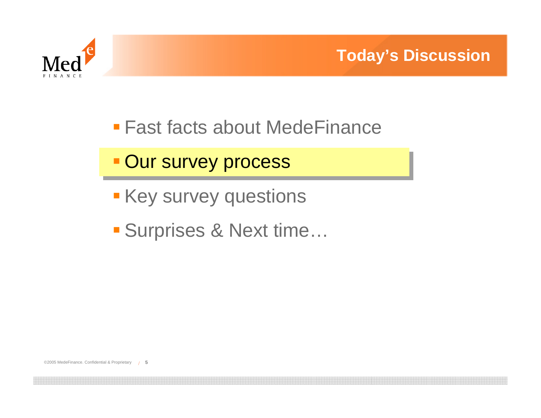

- Fast facts about MedeFinance
- **Our survey process**
- **Key survey questions**
- Surprises & Next time…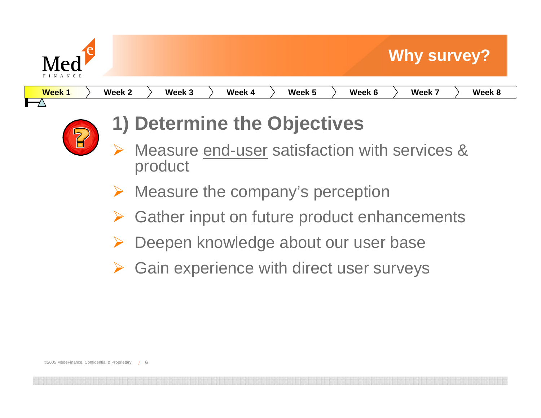

| <b>Week1</b> | Week <sub>2</sub> | .<br>Week 3 | <b>Week</b> | Week 5 | Week 6 | <b>Week</b><br>-- | بامم ا<br>- 0<br>V CCN. |
|--------------|-------------------|-------------|-------------|--------|--------|-------------------|-------------------------|
|              |                   |             |             |        |        |                   |                         |
|              |                   |             |             |        |        |                   |                         |



## **1) Determine the Objectives**

- ¾ Measure end-user satisfaction with services & product
- ¾ Measure the company's perception
- ¾Gather input on future product enhancements
- ¾Deepen knowledge about our user base
- ¾Gain experience with direct user surveys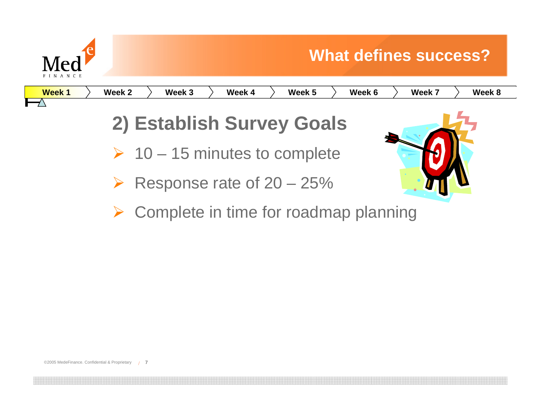

**Week 1**

# **What defines success? Week 2 Week 3 Week 4 Week 5 Week 6 Week 7 Week 8 2) Establish Survey Goals**  $\triangleright$  10 – 15 minutes to complete ¾Response rate of 20 – 25%

¾Complete in time for roadmap planning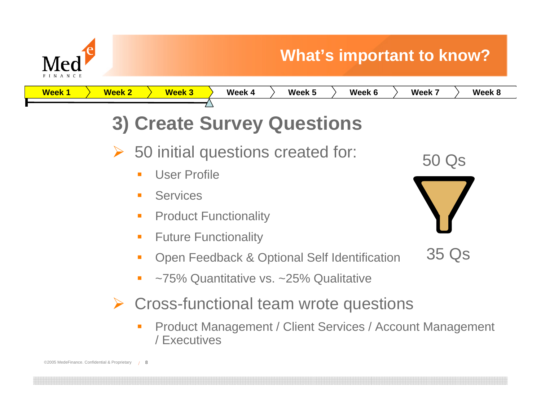

### **What's important to know?**

**Week 1Week 2 Week 3 Week 4 Week 5 Week 6 Week 7 Week 8**

- **3) Create Survey Questions**
- ¾ 50 initial questions created for:
	- $\mathcal{L}_{\mathcal{A}}$ User Profile
	- $\mathbf{r}$ **Services**
	- $\mathcal{L}_{\mathcal{A}}$ Product Functionality
	- $\mathcal{L}_{\mathcal{A}}$ Future Functionality
	- Open Feedback & Optional Self Identification
	- ~75% Quantitative vs. ~25% Qualitative
- ¾ Cross-functional team wrote questions
	- П Product Management / Client Services / Account Management / Executives



35 Qs

50 Qs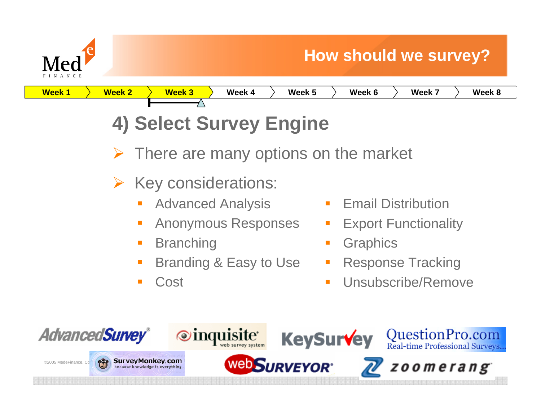



¾There are many options on the market

- ¾ Key considerations:
	- Advanced Analysis
	- $\overline{\phantom{a}}$ Anonymous Responses
	- $\mathcal{L}_{\mathcal{A}}$ **Branching**
	- $\mathcal{L}_{\mathcal{A}}$ Branding & Easy to Use
	- $\mathcal{L}_{\mathcal{A}}$ Cost

**SurveyMonkey.com** 

- Ŧ Email Distribution
- $\mathbb{R}^n$ Export Functionality
- $\mathcal{L}_{\mathrm{eff}}$ **Graphics**
- П Response Tracking
- $\mathcal{L}_{\mathcal{A}}$ Unsubscribe/Remove



©2005 MedeFinance. Confident Survey Monkey.com







zoomerang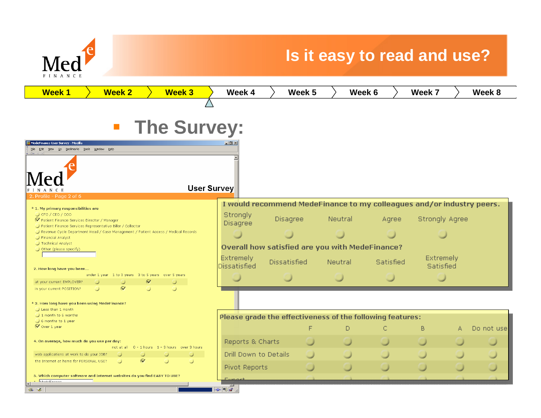

### **Is it easy to read and use?**

| <b>Week1</b><br><b>Week 2</b><br><b>Week 3</b>                                                                                                   | Week 4                                                                | Week 5              | Week 6         |           | Week 7                | Week 8      |
|--------------------------------------------------------------------------------------------------------------------------------------------------|-----------------------------------------------------------------------|---------------------|----------------|-----------|-----------------------|-------------|
|                                                                                                                                                  |                                                                       |                     |                |           |                       |             |
|                                                                                                                                                  |                                                                       |                     |                |           |                       |             |
| <b>The Survey:</b><br>$\overline{\phantom{a}}$                                                                                                   |                                                                       |                     |                |           |                       |             |
| MedeFinance User Survey - Mozilla                                                                                                                | $-12 \times$                                                          |                     |                |           |                       |             |
| File Edit View Go Bookmarks Tools Window Help                                                                                                    |                                                                       |                     |                |           |                       |             |
|                                                                                                                                                  |                                                                       |                     |                |           |                       |             |
|                                                                                                                                                  |                                                                       |                     |                |           |                       |             |
|                                                                                                                                                  |                                                                       |                     |                |           |                       |             |
| User Survey                                                                                                                                      |                                                                       |                     |                |           |                       |             |
| Profile - Page 2 of 6                                                                                                                            | I would recommend MedeFinance to my colleagues and/or industry peers. |                     |                |           |                       |             |
| * 1. My primary responsibilities are<br>$\bigcup$ CFO / CEO / COO                                                                                | Strongly                                                              |                     |                |           |                       |             |
| V Patient Finance Services Director / Manager                                                                                                    | Disagree                                                              | Disagree            | Neutral        | Agree     | <b>Strongly Agree</b> |             |
| Patient Finance Services Representative Biller / Collector<br>Revenue Cycle Department Head / Case Management / Patient Access / Medical Records |                                                                       |                     |                |           |                       |             |
| Financial Analyst                                                                                                                                |                                                                       |                     |                |           |                       |             |
| Technical Analyst<br>Other (please specify)                                                                                                      | Overall how satisfied are you with MedeFinance?                       |                     |                |           |                       |             |
|                                                                                                                                                  | Extremely                                                             |                     |                |           | Extremely             |             |
| 2. How long have you been                                                                                                                        | <b>Dissatisfied</b>                                                   | <b>Dissatisfied</b> | <b>Neutral</b> | Satisfied | Satisfied             |             |
| under 1 year 1 to 3 years 3 to 5 years over 5 years                                                                                              |                                                                       |                     |                |           |                       |             |
| $\sigma$<br>at your current EMPLOYER?<br>$\sigma$<br>$\Box$                                                                                      |                                                                       |                     |                |           |                       |             |
| in your current POSITION?                                                                                                                        |                                                                       |                     |                |           |                       |             |
| * 3. How long have you been using MedeFinance?                                                                                                   |                                                                       |                     |                |           |                       |             |
| Less than 1 month<br>$\Box$ 1 month to 6 months                                                                                                  |                                                                       |                     |                |           |                       |             |
| $\Box$ 6 months to 1 year                                                                                                                        | Please grade the effectiveness of the following features:             |                     |                |           |                       |             |
| $\mathcal N$ Over 1 year                                                                                                                         |                                                                       | F                   | D              | С         | B<br>Δ                | Do not usel |
| 4. On average, how much do you use per day:                                                                                                      | Reports & Charts                                                      |                     |                |           |                       |             |
| 0 - 1 hours 1 - 3 hours over 3 hours<br>not at all                                                                                               |                                                                       |                     |                |           |                       |             |
| web applications at work to do your JOB?<br>$\sigma$<br>the Internet at home for PERSONAL USE?                                                   | Drill Down to Details                                                 |                     |                |           |                       |             |
|                                                                                                                                                  | <b>Pivot Reports</b>                                                  |                     |                |           |                       |             |
| 5. Which computer software and Internet websites do you find EASY TO USE?                                                                        |                                                                       |                     |                |           |                       |             |
| <b>Modellingnon</b><br>Ł                                                                                                                         | $-1 - 2 - 1$                                                          |                     |                |           |                       |             |
|                                                                                                                                                  |                                                                       |                     |                |           |                       |             |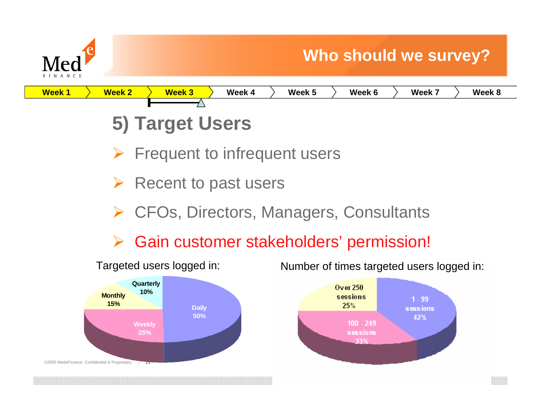



- ¾Frequent to infrequent users
- ¾Recent to past users
- ¾CFOs, Directors, Managers, Consultants
- ¾Gain customer stakeholders' permission!



Targeted users logged in: Number of times targeted users logged in:

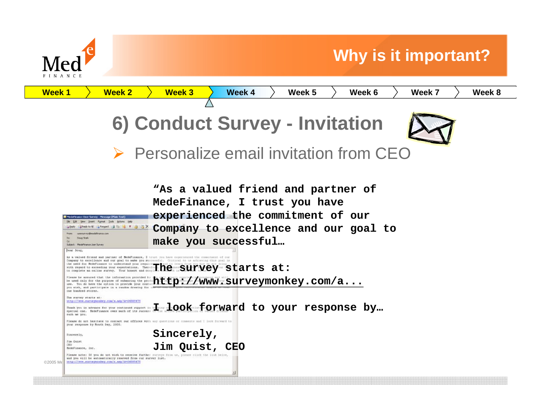

### **Why is it important?**

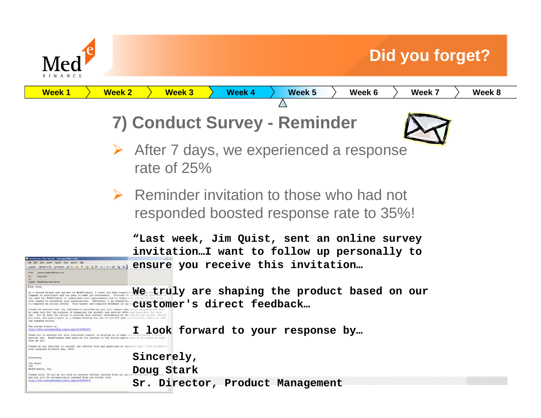

## **Did you forget?**

| <u>Week 1</u><br>Week 2                                                                                                                                                                                                                                                                                                                                                                                                                                                                                                                                                                                                                                                                                                                                               | Week 3<br>Week 4<br>Week 5<br>Week 6<br>Week 7<br>Week 8                                                                          |
|-----------------------------------------------------------------------------------------------------------------------------------------------------------------------------------------------------------------------------------------------------------------------------------------------------------------------------------------------------------------------------------------------------------------------------------------------------------------------------------------------------------------------------------------------------------------------------------------------------------------------------------------------------------------------------------------------------------------------------------------------------------------------|-----------------------------------------------------------------------------------------------------------------------------------|
|                                                                                                                                                                                                                                                                                                                                                                                                                                                                                                                                                                                                                                                                                                                                                                       |                                                                                                                                   |
|                                                                                                                                                                                                                                                                                                                                                                                                                                                                                                                                                                                                                                                                                                                                                                       | 7) Conduct Survey - Reminder                                                                                                      |
|                                                                                                                                                                                                                                                                                                                                                                                                                                                                                                                                                                                                                                                                                                                                                                       | $\triangleright$ After 7 days, we experienced a response<br>rate of $25%$                                                         |
|                                                                                                                                                                                                                                                                                                                                                                                                                                                                                                                                                                                                                                                                                                                                                                       | $\triangleright$ Reminder invitation to those who had not<br>responded boosted response rate to 35%!                              |
| <b>MIST BYX + + X N N</b><br>Likely Likeply to All Lis Forward Links<br>To: Doug Stark                                                                                                                                                                                                                                                                                                                                                                                                                                                                                                                                                                                                                                                                                | "Last week, Jim Quist, sent an online survey<br>invitationI want to follow up personally to<br>ensure you receive this invitation |
| Subject: MedeFinance Ligar Survey<br>Dear Doug,<br>As a valued friend and partner of MedeFinance, I trust you have experie<br>Company to excellence and our goal to make you successful. Critical t<br>the need for Bedefinance to understand your requirements and to learn<br>with recentd to exceeding your expectations. Therefore, I am cequanting a<br>o complete an online survey. Your honest and complete feedback is impo<br>be used only for the purpose of enhancing the product and service offerings available for your<br>ase. You do have the option to provide your contact information at the end of the survey, should<br>pou wish, and participate in a random drawing for one of ten \$25 gift certificates usable at our<br>one hundred stores. | We truly are shaping the product based on our<br>customer's direct feedback                                                       |
| The survey starts at<br>http://www.surveynontey.com/s.msp?A=6458547<br>Thank you in advance for your continued support is halping us to mak<br>special one. NedeFinance owes much of its success to the active parti-<br>ruch as you<br>Please do not hesitate to contact our offices with any questions or com                                                                                                                                                                                                                                                                                                                                                                                                                                                       | look forward to your response by                                                                                                  |
| your response by Month Day, 2005.<br>Sincerely,                                                                                                                                                                                                                                                                                                                                                                                                                                                                                                                                                                                                                                                                                                                       | Sincerely,                                                                                                                        |
| Jim Quist<br>CEO <sup>-</sup><br>SedeFinance, Inc.                                                                                                                                                                                                                                                                                                                                                                                                                                                                                                                                                                                                                                                                                                                    | Doug Stark                                                                                                                        |
| Please note: If you do not wish to receive further surveys from<br>and you will be automatically removed from our survey list.<br>http://www.aurueysonkey.com/s.asp?A=64585475                                                                                                                                                                                                                                                                                                                                                                                                                                                                                                                                                                                        | Sr. Director, Product Management                                                                                                  |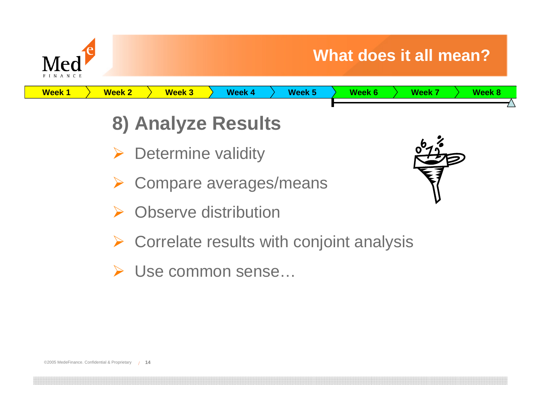

**Week 1Week 2 Week 3 Week 4 Week 5 Week 6 Week 7 Week 8**

## **8) Analyze Results**

- **▶ Determine validity**
- ¾Compare averages/means
- ¾Observe distribution
- $\triangleright$  Correlate results with conjoint analysis
- ¾ Use common sense…

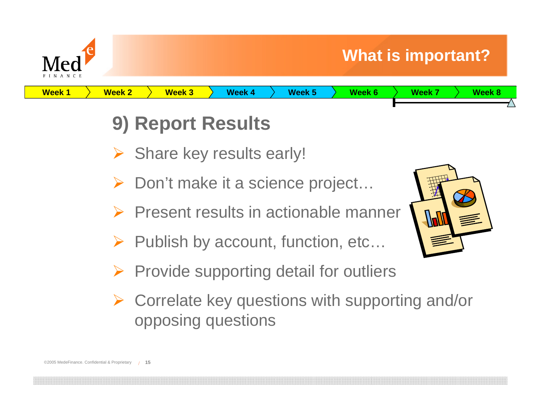

**Week 1**

## **9) Report Results**

- ¾ Share key results early!
- ¾ Don't make it a science project…
- ¾ Present results in actionable manner

**Week 2 Week 3 Week 4 Week 5 Week 6 Week 7 Week 8**

- ¾ Publish by account, function, etc…
- ¾ Provide supporting detail for outliers
- ¾ Correlate key questions with supporting and/or opposing questions

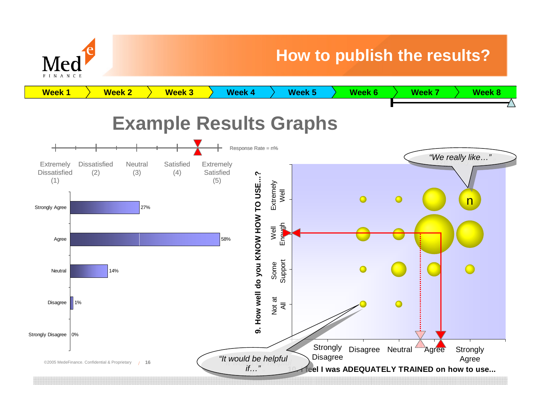

#### **How to publish the results?**

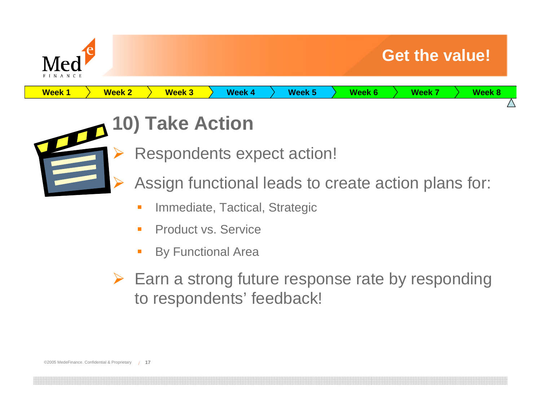



# **10) Take Action**

- Respondents expect action!
- Assign functional leads to create action plans for:
	- П Immediate, Tactical, Strategic
	- $\mathcal{L}_{\mathcal{A}}$ Product vs. Service
	- By Functional Area
- ¾ Earn a strong future response rate by responding to respondents' feedback!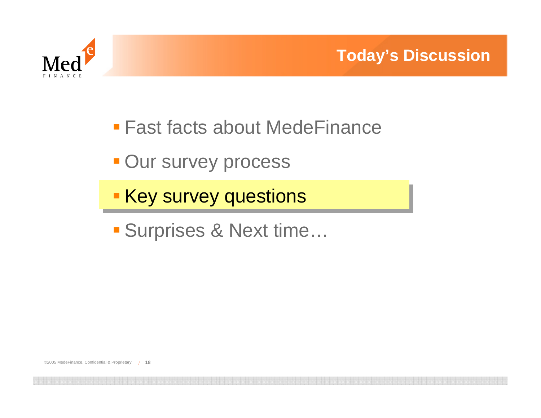

- Fast facts about MedeFinance
- **Our survey process**
- **Key survey questions**
- Surprises & Next time…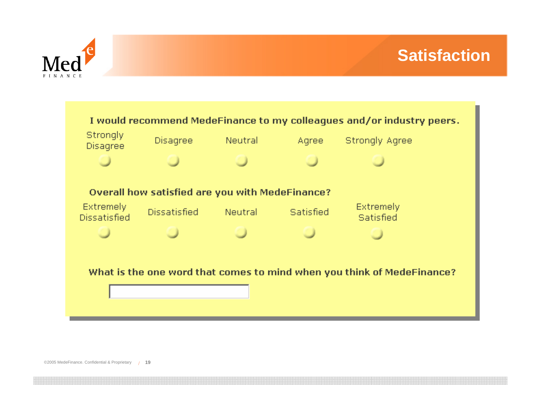



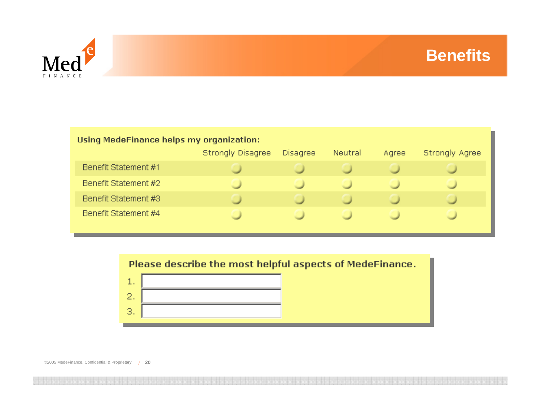

#### Using MedeFinance helps my organization: Strongly Disagree Disagree **Strongly Agree** Neutral Agree Benefit Statement #1 Benefit Statement #2 Benefit Statement #3 Benefit Statement #4



©2005 MedeFinance. Confidential & Proprietary /**20**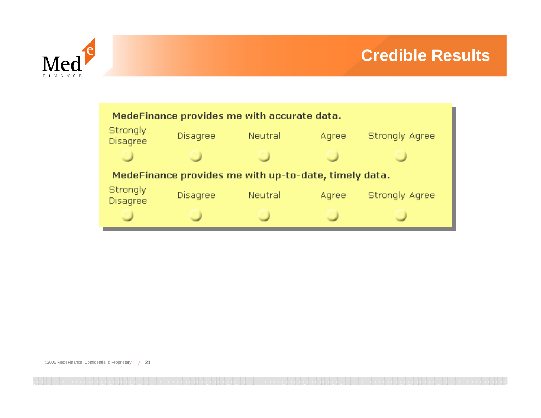



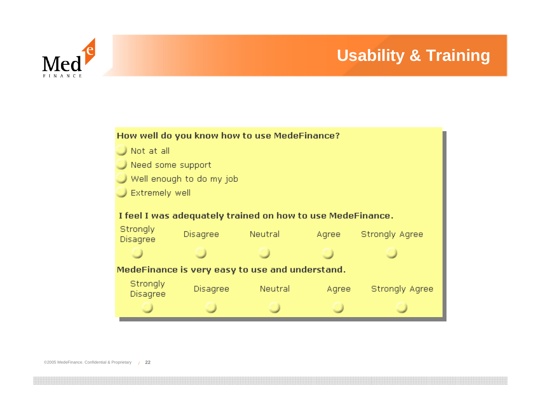#### **Usability & Training**



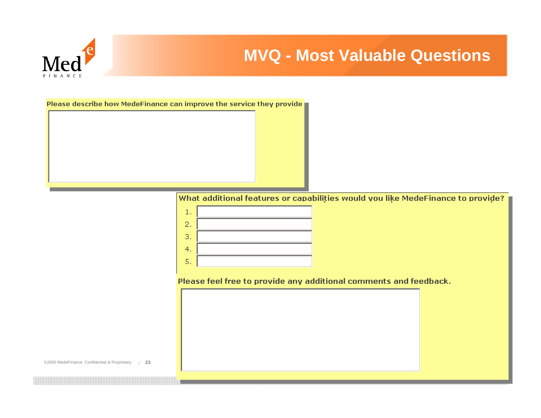

#### **MVQ - Most Valuable Questions**

Please describe how MedeFinance can improve the service they provide

What additional features or capabilities would you like MedeFinance to provide?



Please feel free to provide any additional comments and feedback.

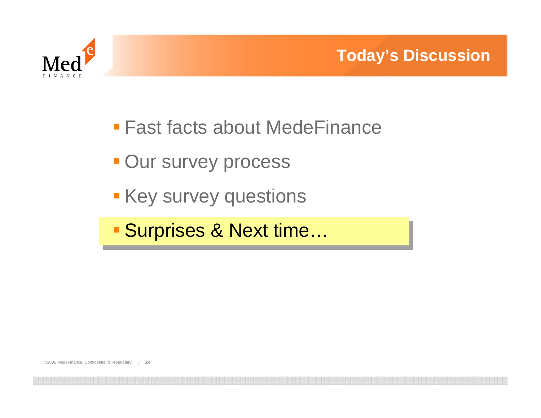

- Fast facts about MedeFinance
- **Our survey process**
- **Key survey questions**
- Surprises & Next time…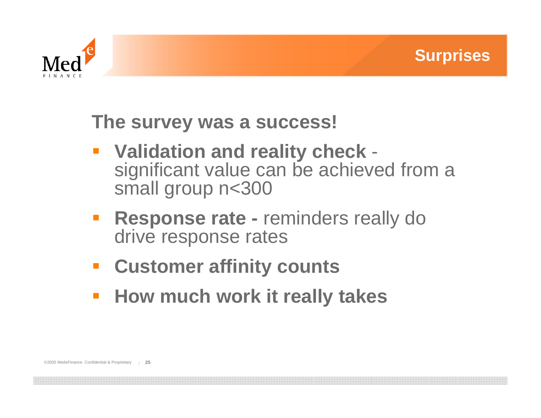



## **The survey was a success!**

- **Validation and reality check**  significant value can be achieved from a small group n<300
- **Response rate -** reminders really do drive response rates
- **Customer affinity counts**
- **How much work it really takes**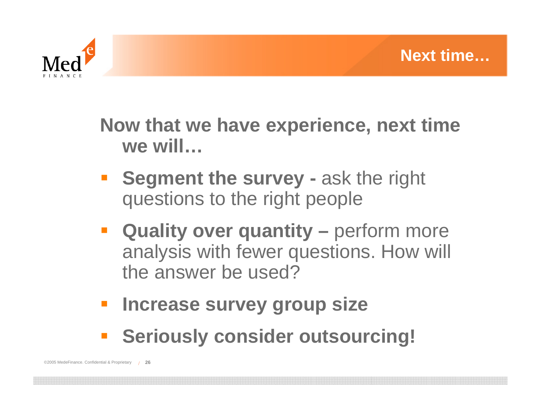

**Now that we have experience, next time we will…**

- $\overline{\mathbb{R}^2}$  **Segment the survey -** ask the right questions to the right people
- **E** Quality over quantity perform more analysis with fewer questions. How will the answer be used?
- $\mathcal{L}_{\mathcal{A}}$ **Increase survey group size**
- **EXECUTE: Seriously consider outsourcing!**